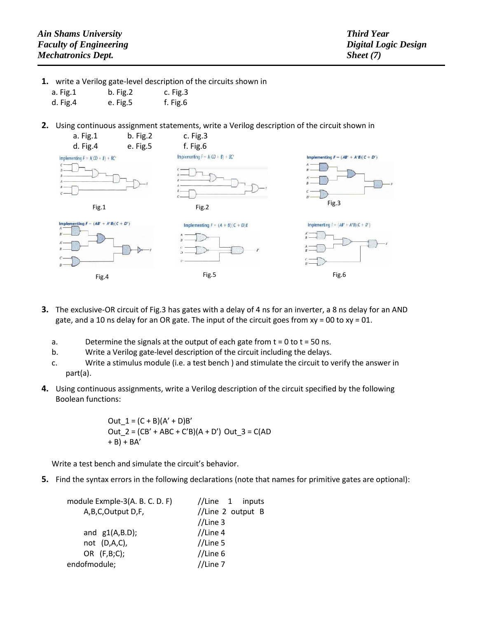- **1.** write a Verilog gate-level description of the circuits shown in
	- a. Fig.1 b. Fig.2 c. Fig.3
	- d. Fig.4 e. Fig.5 f. Fig.6
- **2.** Using continuous assignment statements, write a Verilog description of the circuit shown in



- **3.** The exclusive-OR circuit of Fig.3 has gates with a delay of 4 ns for an inverter, a 8 ns delay for an AND gate, and a 10 ns delay for an OR gate. The input of the circuit goes from  $xy = 00$  to  $xy = 01$ .
	- a. Determine the signals at the output of each gate from  $t = 0$  to  $t = 50$  ns.
	- b. Write a Verilog gate-level description of the circuit including the delays.
	- c. Write a stimulus module (i.e. a test bench ) and stimulate the circuit to verify the answer in part(a).
- **4.** Using continuous assignments, write a Verilog description of the circuit specified by the following Boolean functions:

 $Out_1 = (C + B)(A' + D)B'$ Out\_2 =  $(CB' + ABC + C'B)(A + D')$  Out\_3 =  $C(AD)$  $+$  B) + BA'

Write a test bench and simulate the circuit's behavior.

**5.** Find the syntax errors in the following declarations (note that names for primitive gates are optional):

| module Exmple-3(A. B. C. D. F) | //Line $1$ inputs |
|--------------------------------|-------------------|
| A, B, C, Output D, F,          | //Line 2 output B |
|                                | $//$ Line 3       |
| and $g1(A,B.D)$ ;              | $//$ Line 4       |
| not $(D,A,C)$ ,                | $//$ Line 5       |
| OR $(F,B;C)$ ;                 | //Line 6          |
| endofmodule;                   | $//$ Line $7$     |